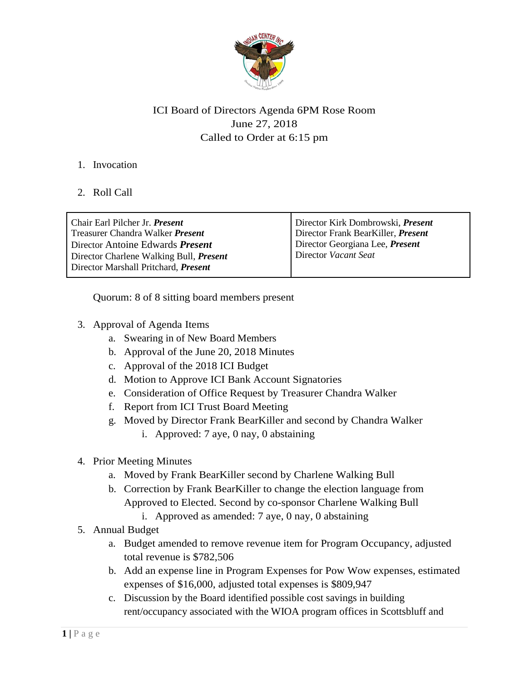

# ICI Board of Directors Agenda 6PM Rose Room June 27, 2018 Called to Order at 6:15 pm

### 1. Invocation

## 2. Roll Call

| Chair Earl Pilcher Jr. <i>Present</i><br>Treasurer Chandra Walker <i>Present</i> | Director Kirk Dombrowski, <i>Present</i><br>Director Frank BearKiller, Present |
|----------------------------------------------------------------------------------|--------------------------------------------------------------------------------|
| Director Antoine Edwards <i>Present</i>                                          | Director Georgiana Lee, Present                                                |
| Director Charlene Walking Bull, <i>Present</i>                                   | Director Vacant Seat                                                           |
| Director Marshall Pritchard, <i>Present</i>                                      |                                                                                |
|                                                                                  |                                                                                |

Quorum: 8 of 8 sitting board members present

- 3. Approval of Agenda Items
	- a. Swearing in of New Board Members
	- b. Approval of the June 20, 2018 Minutes
	- c. Approval of the 2018 ICI Budget
	- d. Motion to Approve ICI Bank Account Signatories
	- e. Consideration of Office Request by Treasurer Chandra Walker
	- f. Report from ICI Trust Board Meeting
	- g. Moved by Director Frank BearKiller and second by Chandra Walker
		- i. Approved: 7 aye, 0 nay, 0 abstaining
- 4. Prior Meeting Minutes
	- a. Moved by Frank BearKiller second by Charlene Walking Bull
	- b. Correction by Frank BearKiller to change the election language from Approved to Elected. Second by co-sponsor Charlene Walking Bull
		- i. Approved as amended: 7 aye, 0 nay, 0 abstaining
- 5. Annual Budget
	- a. Budget amended to remove revenue item for Program Occupancy, adjusted total revenue is \$782,506
	- b. Add an expense line in Program Expenses for Pow Wow expenses, estimated expenses of \$16,000, adjusted total expenses is \$809,947
	- c. Discussion by the Board identified possible cost savings in building rent/occupancy associated with the WIOA program offices in Scottsbluff and